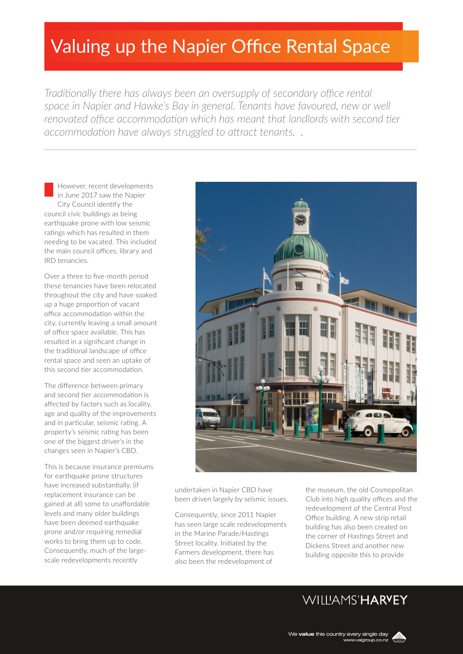# Valuing up the Napier Office Rental Space

*Traditionally there has always been an oversupply of secondary office rental space in Napier and Hawke's Bay in general. Tenants have favoured, new or well* renovated office accommodation which has meant that landlords with second tier *accommodation have always struggled to attract tenants. .*

However, recent developments in June 2017 saw the Napier City Council identify the council civic buildings as being earthquake prone with low seismic ratings which has resulted in them needing to be vacated. This included the main council offices, library and IRD tenancies.

Over a three to five-month period these tenancies have been relocated throughout the city and have soaked up a huge proportion of vacant office accommodation within the city, currently leaving a small amount of office space available. This has resulted in a significant change in the traditional landscape of office rental space and seen an uptake of this second tier accommodation.

The difference between primary and second tier accommodation is affected by factors such as locality, age and quality of the improvements and in particular, seismic rating. A property's seismic rating has been one of the biggest driver's in the changes seen in Napier's CBD.

This is because insurance premiums for earthquake prone structures have increased substantially, (if replacement insurance can be gained at all) some to unaffordable levels and many older buildings have been deemed earthquake prone and/or requiring remedial works to bring them up to code. Consequently, much of the largescale redevelopments recently



undertaken in Napier CBD have been driven largely by seismic issues.

Consequently, since 2011 Napier has seen large scale redevelopments in the Marine Parade/Hastings Street locality. Initiated by the Farmers development, there has also been the redevelopment of

the museum, the old Cosmopolitan Club into high quality offices and the redevelopment of the Central Post Office building. A new strip retail building has also been created on the corner of Hastings Street and Dickens Street and another new building opposite this to provide

## WIIIIAMS'HARVEY